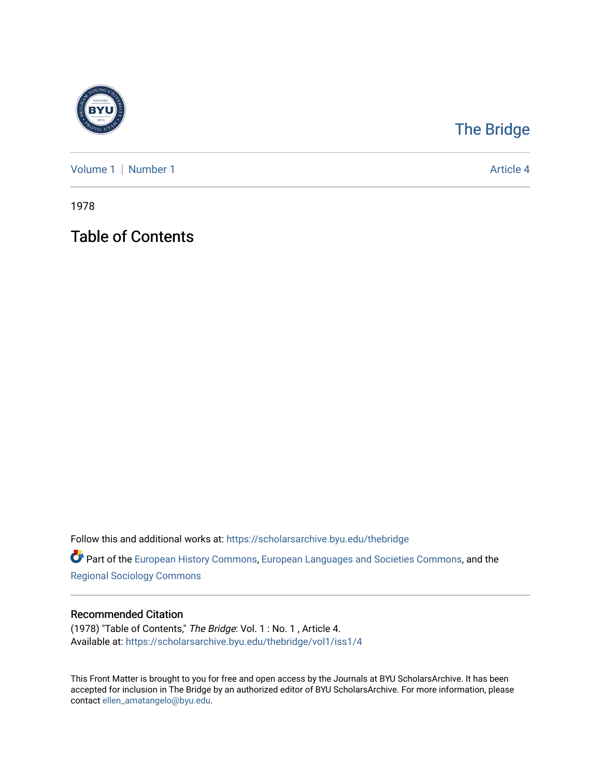

## [The Bridge](https://scholarsarchive.byu.edu/thebridge)

[Volume 1](https://scholarsarchive.byu.edu/thebridge/vol1) | [Number 1](https://scholarsarchive.byu.edu/thebridge/vol1/iss1) Article 4

1978

Table of Contents

Follow this and additional works at: [https://scholarsarchive.byu.edu/thebridge](https://scholarsarchive.byu.edu/thebridge?utm_source=scholarsarchive.byu.edu%2Fthebridge%2Fvol1%2Fiss1%2F4&utm_medium=PDF&utm_campaign=PDFCoverPages) 

**Part of the [European History Commons](http://network.bepress.com/hgg/discipline/492?utm_source=scholarsarchive.byu.edu%2Fthebridge%2Fvol1%2Fiss1%2F4&utm_medium=PDF&utm_campaign=PDFCoverPages), [European Languages and Societies Commons,](http://network.bepress.com/hgg/discipline/482?utm_source=scholarsarchive.byu.edu%2Fthebridge%2Fvol1%2Fiss1%2F4&utm_medium=PDF&utm_campaign=PDFCoverPages) and the** [Regional Sociology Commons](http://network.bepress.com/hgg/discipline/427?utm_source=scholarsarchive.byu.edu%2Fthebridge%2Fvol1%2Fiss1%2F4&utm_medium=PDF&utm_campaign=PDFCoverPages) 

## Recommended Citation

(1978) "Table of Contents," The Bridge: Vol. 1 : No. 1 , Article 4. Available at: [https://scholarsarchive.byu.edu/thebridge/vol1/iss1/4](https://scholarsarchive.byu.edu/thebridge/vol1/iss1/4?utm_source=scholarsarchive.byu.edu%2Fthebridge%2Fvol1%2Fiss1%2F4&utm_medium=PDF&utm_campaign=PDFCoverPages)

This Front Matter is brought to you for free and open access by the Journals at BYU ScholarsArchive. It has been accepted for inclusion in The Bridge by an authorized editor of BYU ScholarsArchive. For more information, please contact [ellen\\_amatangelo@byu.edu.](mailto:ellen_amatangelo@byu.edu)